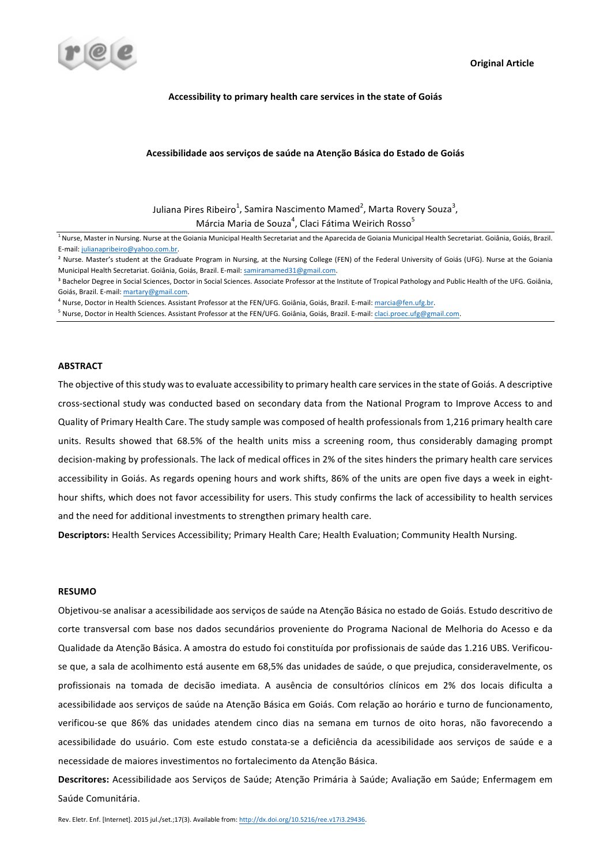

### Accessibility to primary health care services in the state of Goiás

### **Acessibilidade aos serviços de saúde na Atenção Básica do Estado de Goiás**

Juliana Pires Ribeiro $^1$ , Samira Nascimento Mamed $^2$ , Marta Rovery Souza $^3$ , Márcia Maria de Souza $^4$ , Claci Fátima Weirich Rosso $^5$ 

<sup>1</sup> Nurse, Master in Nursing. Nurse at the Goiania Municipal Health Secretariat and the Aparecida de Goiania Municipal Health Secretariat. Goiânia, Goiás, Brazil. E-mail: julianapribeiro@yahoo.com.br.

<sup>4</sup> Nurse, Doctor in Health Sciences. Assistant Professor at the FEN/UFG. Goiânia, Goiás, Brazil. E-mail: marcia@fen.ufg.br.

<sup>5</sup> Nurse, Doctor in Health Sciences. Assistant Professor at the FEN/UFG. Goiânia, Goiás, Brazil. E-mail: claci.proec.ufg@gmail.com.

## **ABSTRACT**

The objective of this study was to evaluate accessibility to primary health care services in the state of Goiás. A descriptive cross-sectional study was conducted based on secondary data from the National Program to Improve Access to and Quality of Primary Health Care. The study sample was composed of health professionals from 1,216 primary health care units. Results showed that 68.5% of the health units miss a screening room, thus considerably damaging prompt decision-making by professionals. The lack of medical offices in 2% of the sites hinders the primary health care services accessibility in Goiás. As regards opening hours and work shifts, 86% of the units are open five days a week in eighthour shifts, which does not favor accessibility for users. This study confirms the lack of accessibility to health services and the need for additional investments to strengthen primary health care.

**Descriptors:** Health Services Accessibility; Primary Health Care; Health Evaluation; Community Health Nursing.

## **RESUMO**

Objetivou-se analisar a acessibilidade aos serviços de saúde na Atenção Básica no estado de Goiás. Estudo descritivo de corte transversal com base nos dados secundários proveniente do Programa Nacional de Melhoria do Acesso e da Qualidade da Atenção Básica. A amostra do estudo foi constituída por profissionais de saúde das 1.216 UBS. Verificouse que, a sala de acolhimento está ausente em 68,5% das unidades de saúde, o que prejudica, consideravelmente, os profissionais na tomada de decisão imediata. A ausência de consultórios clínicos em 2% dos locais dificulta a acessibilidade aos serviços de saúde na Atenção Básica em Goiás. Com relação ao horário e turno de funcionamento, verificou-se que 86% das unidades atendem cinco dias na semana em turnos de oito horas, não favorecendo a acessibilidade do usuário. Com este estudo constata-se a deficiência da acessibilidade aos serviços de saúde e a necessidade de maiores investimentos no fortalecimento da Atenção Básica.

Descritores: Acessibilidade aos Serviços de Saúde; Atenção Primária à Saúde; Avaliação em Saúde; Enfermagem em Saúde Comunitária.

<sup>&</sup>lt;sup>2</sup> Nurse. Master's student at the Graduate Program in Nursing, at the Nursing College (FEN) of the Federal University of Goiás (UFG). Nurse at the Goiania Municipal Health Secretariat. Goiânia, Goiás, Brazil. E-mail: samiramamed31@gmail.com.

<sup>&</sup>lt;sup>3</sup> Bachelor Degree in Social Sciences, Doctor in Social Sciences. Associate Professor at the Institute of Tropical Pathology and Public Health of the UFG. Goiânia, Goiás, Brazil. E-mail: martary@gmail.com.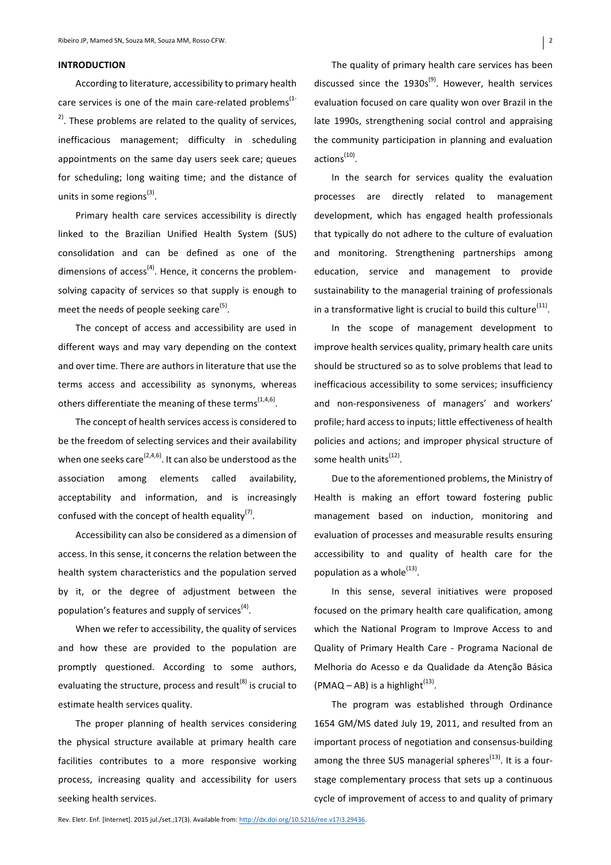## **INTRODUCTION**

According to literature, accessibility to primary health care services is one of the main care-related problems<sup> $(1-$ </sup>  $2^{\text{2}}$ . These problems are related to the quality of services, inefficacious management; difficulty in scheduling appointments on the same day users seek care; queues for scheduling; long waiting time; and the distance of units in some regions<sup>(3)</sup>.

Primary health care services accessibility is directly linked to the Brazilian Unified Health System (SUS) consolidation and can be defined as one of the dimensions of access<sup>(4)</sup>. Hence, it concerns the problemsolving capacity of services so that supply is enough to meet the needs of people seeking care<sup>(5)</sup>.

The concept of access and accessibility are used in different ways and may vary depending on the context and over time. There are authors in literature that use the terms access and accessibility as synonyms, whereas others differentiate the meaning of these terms<sup> $(1,4,6)$ </sup>.

The concept of health services access is considered to be the freedom of selecting services and their availability when one seeks care<sup>(2,4,6)</sup>. It can also be understood as the association among elements called availability, acceptability and information, and is increasingly confused with the concept of health equality<sup>(7)</sup>.

Accessibility can also be considered as a dimension of access. In this sense, it concerns the relation between the health system characteristics and the population served by it, or the degree of adjustment between the population's features and supply of services<sup>(4)</sup>.

When we refer to accessibility, the quality of services and how these are provided to the population are promptly questioned. According to some authors, evaluating the structure, process and result<sup>(8)</sup> is crucial to estimate health services quality.

The proper planning of health services considering the physical structure available at primary health care facilities contributes to a more responsive working process, increasing quality and accessibility for users seeking health services.

The quality of primary health care services has been discussed since the  $1930s^{(9)}$ . However, health services evaluation focused on care quality won over Brazil in the late 1990s, strengthening social control and appraising the community participation in planning and evaluation actions<sup>(10)</sup>.

In the search for services quality the evaluation processes are directly related to management development, which has engaged health professionals that typically do not adhere to the culture of evaluation and monitoring. Strengthening partnerships among education, service and management to provide sustainability to the managerial training of professionals in a transformative light is crucial to build this culture<sup>(11)</sup>.

In the scope of management development to improve health services quality, primary health care units should be structured so as to solve problems that lead to inefficacious accessibility to some services; insufficiency and non-responsiveness of managers' and workers' profile; hard access to inputs; little effectiveness of health policies and actions; and improper physical structure of some health units<sup>(12)</sup>.

Due to the aforementioned problems, the Ministry of Health is making an effort toward fostering public management based on induction, monitoring and evaluation of processes and measurable results ensuring accessibility to and quality of health care for the population as a whole $^{(13)}$ .

In this sense, several initiatives were proposed focused on the primary health care qualification, among which the National Program to Improve Access to and Quality of Primary Health Care - Programa Nacional de Melhoria do Acesso e da Qualidade da Atenção Básica  $(PMAQ - AB)$  is a highlight<sup> $(13)$ </sup>.

The program was established through Ordinance 1654 GM/MS dated July 19, 2011, and resulted from an important process of negotiation and consensus-building among the three SUS managerial spheres<sup> $(13)$ </sup>. It is a fourstage complementary process that sets up a continuous cycle of improvement of access to and quality of primary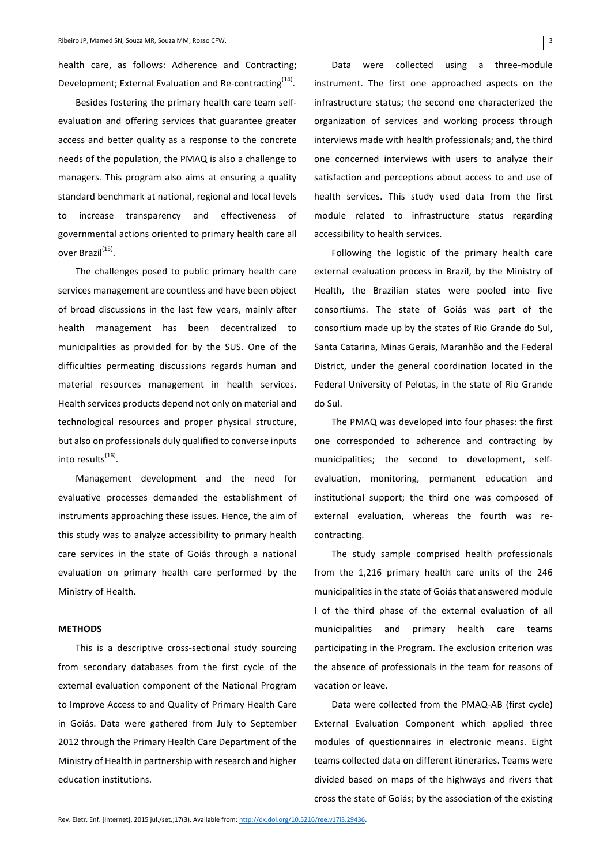health care, as follows: Adherence and Contracting: Development; External Evaluation and Re-contracting<sup>(14)</sup>.

Besides fostering the primary health care team selfevaluation and offering services that guarantee greater access and better quality as a response to the concrete needs of the population, the PMAQ is also a challenge to managers. This program also aims at ensuring a quality standard benchmark at national, regional and local levels to increase transparency and effectiveness of governmental actions oriented to primary health care all over Brazil<sup>(15)</sup>.

The challenges posed to public primary health care services management are countless and have been object of broad discussions in the last few years, mainly after health management has been decentralized to municipalities as provided for by the SUS. One of the difficulties permeating discussions regards human and material resources management in health services. Health services products depend not only on material and technological resources and proper physical structure, but also on professionals duly qualified to converse inputs into results<sup>(16)</sup>.

Management development and the need for evaluative processes demanded the establishment of instruments approaching these issues. Hence, the aim of this study was to analyze accessibility to primary health care services in the state of Goiás through a national evaluation on primary health care performed by the Ministry of Health.

## **METHODS**

This is a descriptive cross-sectional study sourcing from secondary databases from the first cycle of the external evaluation component of the National Program to Improve Access to and Quality of Primary Health Care in Goiás. Data were gathered from July to September 2012 through the Primary Health Care Department of the Ministry of Health in partnership with research and higher education institutions.

Data were collected using a three-module instrument. The first one approached aspects on the infrastructure status; the second one characterized the organization of services and working process through interviews made with health professionals; and, the third one concerned interviews with users to analyze their satisfaction and perceptions about access to and use of health services. This study used data from the first module related to infrastructure status regarding accessibility to health services.

Following the logistic of the primary health care external evaluation process in Brazil, by the Ministry of Health, the Brazilian states were pooled into five consortiums. The state of Goiás was part of the consortium made up by the states of Rio Grande do Sul, Santa Catarina, Minas Gerais, Maranhão and the Federal District, under the general coordination located in the Federal University of Pelotas, in the state of Rio Grande do Sul. 

The PMAQ was developed into four phases: the first one corresponded to adherence and contracting by municipalities; the second to development, selfevaluation, monitoring, permanent education and institutional support; the third one was composed of external evaluation, whereas the fourth was recontracting.

The study sample comprised health professionals from the 1,216 primary health care units of the 246 municipalities in the state of Goiás that answered module I of the third phase of the external evaluation of all municipalities and primary health care teams participating in the Program. The exclusion criterion was the absence of professionals in the team for reasons of vacation or leave.

Data were collected from the PMAQ-AB (first cycle) External Evaluation Component which applied three modules of questionnaires in electronic means. Eight teams collected data on different itineraries. Teams were divided based on maps of the highways and rivers that cross the state of Goiás; by the association of the existing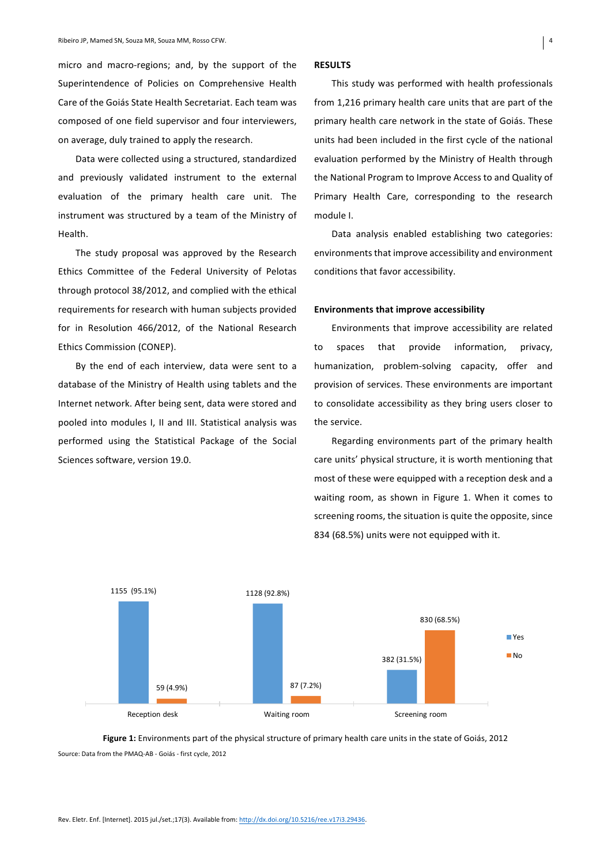micro and macro-regions; and, by the support of the Superintendence of Policies on Comprehensive Health Care of the Goiás State Health Secretariat. Each team was composed of one field supervisor and four interviewers, on average, duly trained to apply the research.

Data were collected using a structured, standardized and previously validated instrument to the external evaluation of the primary health care unit. The instrument was structured by a team of the Ministry of Health.

The study proposal was approved by the Research Ethics Committee of the Federal University of Pelotas through protocol 38/2012, and complied with the ethical requirements for research with human subjects provided for in Resolution 466/2012, of the National Research Ethics Commission (CONEP).

By the end of each interview, data were sent to a database of the Ministry of Health using tablets and the Internet network. After being sent, data were stored and pooled into modules I, II and III. Statistical analysis was performed using the Statistical Package of the Social Sciences software, version 19.0.

#### **RESULTS**

This study was performed with health professionals from 1,216 primary health care units that are part of the primary health care network in the state of Goiás. These units had been included in the first cycle of the national evaluation performed by the Ministry of Health through the National Program to Improve Access to and Quality of Primary Health Care, corresponding to the research module I.

Data analysis enabled establishing two categories: environments that improve accessibility and environment conditions that favor accessibility.

# **Environments that improve accessibility**

Environments that improve accessibility are related to spaces that provide information, privacy, humanization, problem-solving capacity, offer and provision of services. These environments are important to consolidate accessibility as they bring users closer to the service.

Regarding environments part of the primary health care units' physical structure, it is worth mentioning that most of these were equipped with a reception desk and a waiting room, as shown in Figure 1. When it comes to screening rooms, the situation is quite the opposite, since 834 (68.5%) units were not equipped with it.



Figure 1: Environments part of the physical structure of primary health care units in the state of Goiás, 2012 Source: Data from the PMAQ-AB - Goiás - first cycle, 2012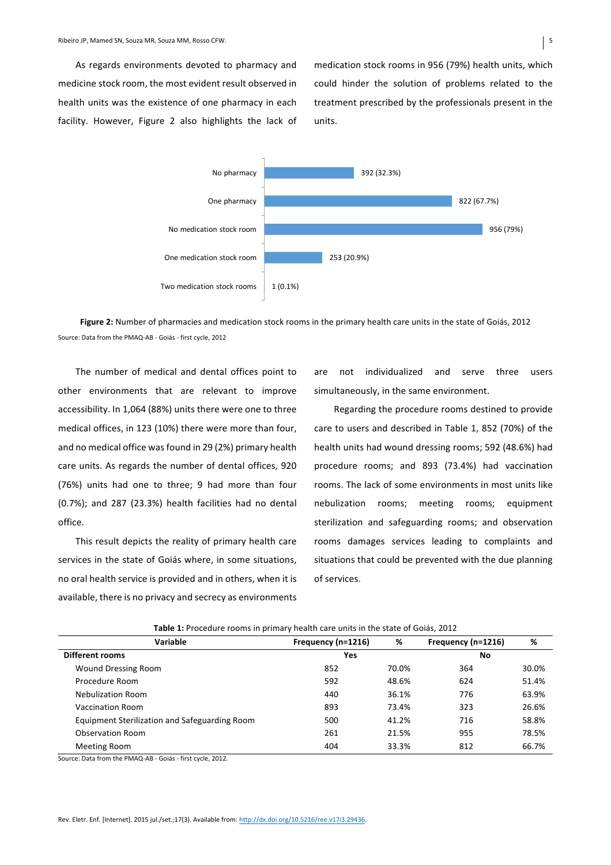As regards environments devoted to pharmacy and medicine stock room, the most evident result observed in health units was the existence of one pharmacy in each facility. However, Figure 2 also highlights the lack of medication stock rooms in 956 (79%) health units, which could hinder the solution of problems related to the treatment prescribed by the professionals present in the units.



Figure 2: Number of pharmacies and medication stock rooms in the primary health care units in the state of Goiás, 2012 Source: Data from the PMAQ-AB - Goiás - first cycle, 2012

The number of medical and dental offices point to other environments that are relevant to improve accessibility. In 1,064 (88%) units there were one to three medical offices, in 123 (10%) there were more than four, and no medical office was found in 29 (2%) primary health care units. As regards the number of dental offices, 920 (76%) units had one to three; 9 had more than four  $(0.7%)$ ; and 287  $(23.3%)$  health facilities had no dental office.

This result depicts the reality of primary health care services in the state of Goiás where, in some situations, no oral health service is provided and in others, when it is available, there is no privacy and secrecy as environments are not individualized and serve three users simultaneously, in the same environment.

Regarding the procedure rooms destined to provide care to users and described in Table 1, 852 (70%) of the health units had wound dressing rooms; 592 (48.6%) had procedure rooms; and 893 (73.4%) had vaccination rooms. The lack of some environments in most units like nebulization rooms; meeting rooms; equipment sterilization and safeguarding rooms; and observation rooms damages services leading to complaints and situations that could be prevented with the due planning of services.

| r <b>able 1:</b> Procedure rooms in primary nealth care units in the state of Golds, 2012 |                    |       |                    |       |  |  |
|-------------------------------------------------------------------------------------------|--------------------|-------|--------------------|-------|--|--|
| <b>Variable</b>                                                                           | Frequency (n=1216) | %     | Frequency (n=1216) | %     |  |  |
| <b>Different rooms</b>                                                                    | Yes                |       | No                 |       |  |  |
| <b>Wound Dressing Room</b>                                                                | 852                | 70.0% | 364                | 30.0% |  |  |
| Procedure Room                                                                            | 592                | 48.6% | 624                | 51.4% |  |  |
| <b>Nebulization Room</b>                                                                  | 440                | 36.1% | 776                | 63.9% |  |  |
| Vaccination Room                                                                          | 893                | 73.4% | 323                | 26.6% |  |  |
| Equipment Sterilization and Safeguarding Room                                             | 500                | 41.2% | 716                | 58.8% |  |  |
| Observation Room                                                                          | 261                | 21.5% | 955                | 78.5% |  |  |
| Meeting Room                                                                              | 404                | 33.3% | 812                | 66.7% |  |  |

**Table to procedure** in primary health care units in the state of Goiás, 2012

Source: Data from the PMAQ-AB - Goiás - first cycle, 2012.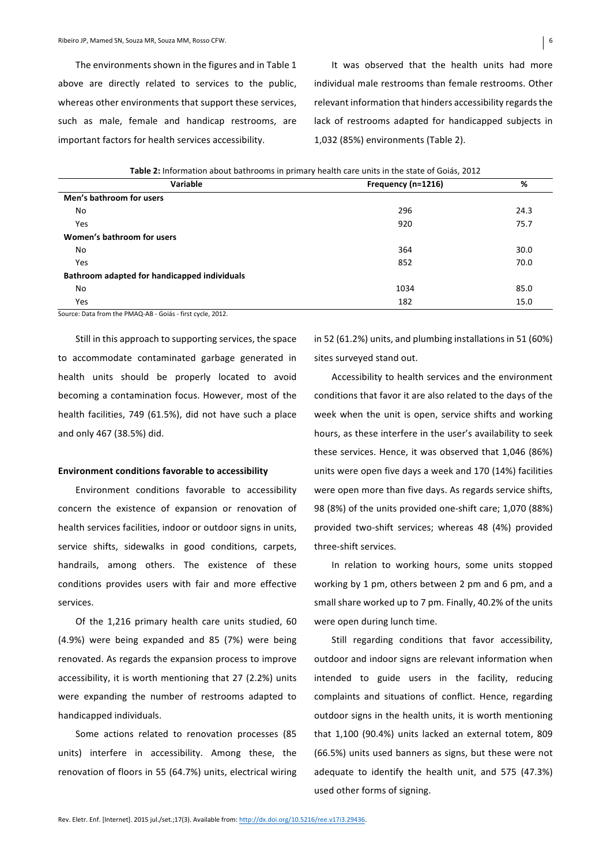The environments shown in the figures and in Table 1 above are directly related to services to the public, whereas other environments that support these services, such as male, female and handicap restrooms, are important factors for health services accessibility.

It was observed that the health units had more individual male restrooms than female restrooms. Other relevant information that hinders accessibility regards the lack of restrooms adapted for handicapped subjects in 1,032 (85%) environments (Table 2).

| Table 2: information about bathrooms in primary nealth care units in the state of Golds, 2012. |                    |      |
|------------------------------------------------------------------------------------------------|--------------------|------|
| Variable                                                                                       | Frequency (n=1216) | %    |
| Men's bathroom for users                                                                       |                    |      |
| No                                                                                             | 296                | 24.3 |
| Yes                                                                                            | 920                | 75.7 |
| Women's bathroom for users                                                                     |                    |      |
| No                                                                                             | 364                | 30.0 |
| Yes                                                                                            | 852                | 70.0 |
| Bathroom adapted for handicapped individuals                                                   |                    |      |
| No                                                                                             | 1034               | 85.0 |
| Yes                                                                                            | 182                | 15.0 |

**Table 2:** Information about bathrooms in primary boolth care units in the state of Goiás, 2012

Source: Data from the PMAQ-AB - Goiás - first cycle, 2012.

Still in this approach to supporting services, the space to accommodate contaminated garbage generated in health units should be properly located to avoid becoming a contamination focus. However, most of the health facilities, 749 (61.5%), did not have such a place and only 467 (38.5%) did.

### **Environment conditions favorable to accessibility**

Environment conditions favorable to accessibility concern the existence of expansion or renovation of health services facilities, indoor or outdoor signs in units, service shifts, sidewalks in good conditions, carpets, handrails, among others. The existence of these conditions provides users with fair and more effective services. 

Of the 1,216 primary health care units studied, 60 (4.9%) were being expanded and 85 (7%) were being renovated. As regards the expansion process to improve accessibility, it is worth mentioning that 27 (2.2%) units were expanding the number of restrooms adapted to handicapped individuals.

Some actions related to renovation processes (85 units) interfere in accessibility. Among these, the renovation of floors in 55 (64.7%) units, electrical wiring in 52 (61.2%) units, and plumbing installations in 51 (60%) sites surveyed stand out.

Accessibility to health services and the environment conditions that favor it are also related to the days of the week when the unit is open, service shifts and working hours, as these interfere in the user's availability to seek these services. Hence, it was observed that 1,046 (86%) units were open five days a week and 170 (14%) facilities were open more than five days. As regards service shifts, 98 (8%) of the units provided one-shift care; 1,070 (88%) provided two-shift services; whereas 48 (4%) provided three-shift services

In relation to working hours, some units stopped working by 1 pm, others between 2 pm and 6 pm, and a small share worked up to 7 pm. Finally, 40.2% of the units were open during lunch time.

Still regarding conditions that favor accessibility, outdoor and indoor signs are relevant information when intended to guide users in the facility, reducing complaints and situations of conflict. Hence, regarding outdoor signs in the health units, it is worth mentioning that 1,100 (90.4%) units lacked an external totem, 809 (66.5%) units used banners as signs, but these were not adequate to identify the health unit, and 575 (47.3%) used other forms of signing.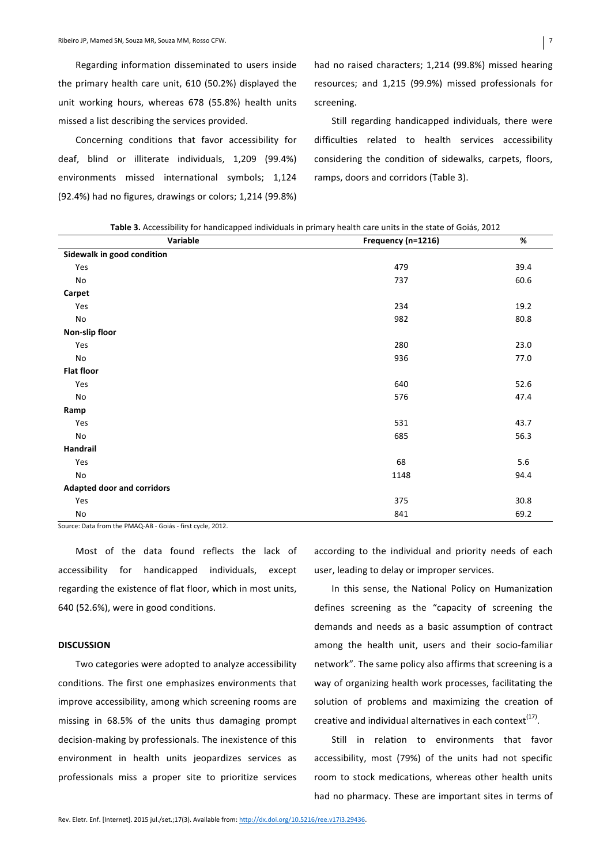Regarding information disseminated to users inside the primary health care unit,  $610$  (50.2%) displayed the unit working hours, whereas 678 (55.8%) health units missed a list describing the services provided.

Concerning conditions that favor accessibility for deaf, blind or illiterate individuals, 1,209 (99.4%) environments missed international symbols; 1,124 (92.4%) had no figures, drawings or colors; 1,214 (99.8%) had no raised characters; 1,214 (99.8%) missed hearing resources; and 1,215 (99.9%) missed professionals for screening.

Still regarding handicapped individuals, there were difficulties related to health services accessibility considering the condition of sidewalks, carpets, floors, ramps, doors and corridors (Table 3).

Table 3. Accessibility for handicapped individuals in primary health care units in the state of Goiás, 2012

| Variable                          | Frequency (n=1216) | $\%$ |
|-----------------------------------|--------------------|------|
| Sidewalk in good condition        |                    |      |
| Yes                               | 479                | 39.4 |
| No                                | 737                | 60.6 |
| Carpet                            |                    |      |
| Yes                               | 234                | 19.2 |
| No                                | 982                | 80.8 |
| Non-slip floor                    |                    |      |
| Yes                               | 280                | 23.0 |
| No                                | 936                | 77.0 |
| <b>Flat floor</b>                 |                    |      |
| Yes                               | 640                | 52.6 |
| No                                | 576                | 47.4 |
| Ramp                              |                    |      |
| Yes                               | 531                | 43.7 |
| No                                | 685                | 56.3 |
| Handrail                          |                    |      |
| Yes                               | 68                 | 5.6  |
| No                                | 1148               | 94.4 |
| <b>Adapted door and corridors</b> |                    |      |
| Yes                               | 375                | 30.8 |
| $\operatorname{\mathsf{No}}$      | 841                | 69.2 |

Source: Data from the PMAQ-AB - Goiás - first cycle, 2012.

Most of the data found reflects the lack of accessibility for handicapped individuals, except regarding the existence of flat floor, which in most units, 640 (52.6%), were in good conditions.

## **DISCUSSION**

Two categories were adopted to analyze accessibility conditions. The first one emphasizes environments that improve accessibility, among which screening rooms are missing in 68.5% of the units thus damaging prompt decision-making by professionals. The inexistence of this environment in health units jeopardizes services as professionals miss a proper site to prioritize services according to the individual and priority needs of each user, leading to delay or improper services.

In this sense, the National Policy on Humanization defines screening as the "capacity of screening the demands and needs as a basic assumption of contract among the health unit, users and their socio-familiar network". The same policy also affirms that screening is a way of organizing health work processes, facilitating the solution of problems and maximizing the creation of creative and individual alternatives in each context $(17)$ .

Still in relation to environments that favor accessibility, most (79%) of the units had not specific room to stock medications, whereas other health units had no pharmacy. These are important sites in terms of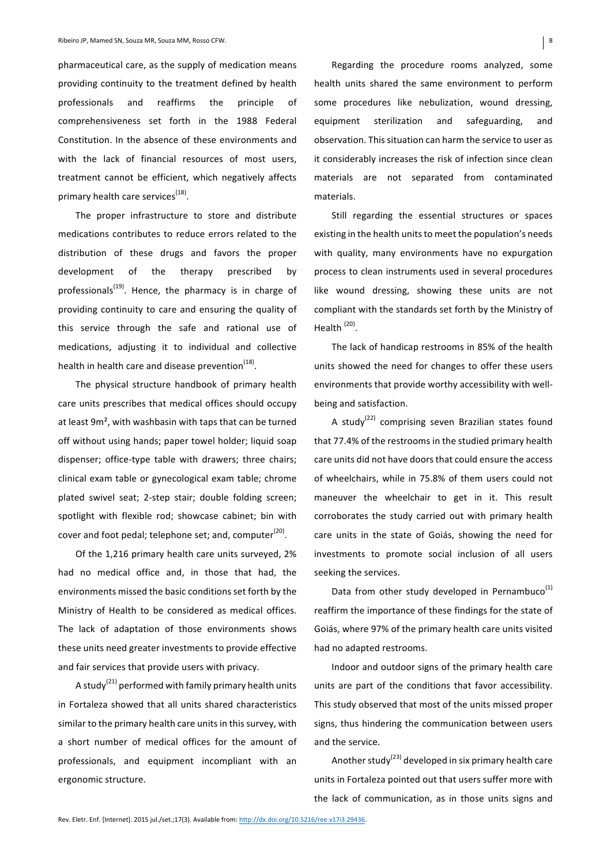pharmaceutical care, as the supply of medication means providing continuity to the treatment defined by health professionals and reaffirms the principle of comprehensiveness set forth in the 1988 Federal Constitution. In the absence of these environments and with the lack of financial resources of most users, treatment cannot be efficient, which negatively affects primary health care services $<sup>(18)</sup>$ .</sup>

The proper infrastructure to store and distribute medications contributes to reduce errors related to the distribution of these drugs and favors the proper development of the therapy prescribed by professionals<sup>(19)</sup>. Hence, the pharmacy is in charge of providing continuity to care and ensuring the quality of this service through the safe and rational use of medications, adjusting it to individual and collective health in health care and disease prevention<sup>(18)</sup>.

The physical structure handbook of primary health care units prescribes that medical offices should occupy at least  $9m^2$ , with washbasin with taps that can be turned off without using hands; paper towel holder; liquid soap dispenser; office-type table with drawers; three chairs; clinical exam table or gynecological exam table; chrome plated swivel seat; 2-step stair; double folding screen; spotlight with flexible rod: showcase cabinet: bin with cover and foot pedal; telephone set; and, computer<sup>(20)</sup>.

Of the 1,216 primary health care units surveyed, 2% had no medical office and, in those that had, the environments missed the basic conditions set forth by the Ministry of Health to be considered as medical offices. The lack of adaptation of those environments shows these units need greater investments to provide effective and fair services that provide users with privacy.

A study<sup>(21)</sup> performed with family primary health units in Fortaleza showed that all units shared characteristics similar to the primary health care units in this survey, with a short number of medical offices for the amount of professionals, and equipment incompliant with an ergonomic structure.

Regarding the procedure rooms analyzed, some health units shared the same environment to perform some procedures like nebulization, wound dressing, equipment sterilization and safeguarding, and observation. This situation can harm the service to user as it considerably increases the risk of infection since clean materials are not separated from contaminated materials.

Still regarding the essential structures or spaces existing in the health units to meet the population's needs with quality, many environments have no expurgation process to clean instruments used in several procedures like wound dressing, showing these units are not compliant with the standards set forth by the Ministry of Health<sup>(20)</sup>.

The lack of handicap restrooms in 85% of the health units showed the need for changes to offer these users environments that provide worthy accessibility with wellbeing and satisfaction.

A study<sup>(22)</sup> comprising seven Brazilian states found that 77.4% of the restrooms in the studied primary health care units did not have doors that could ensure the access of wheelchairs, while in 75.8% of them users could not maneuver the wheelchair to get in it. This result corroborates the study carried out with primary health care units in the state of Goiás, showing the need for investments to promote social inclusion of all users seeking the services.

Data from other study developed in Pernambuco<sup>(1)</sup> reaffirm the importance of these findings for the state of Goiás, where 97% of the primary health care units visited had no adapted restrooms.

Indoor and outdoor signs of the primary health care units are part of the conditions that favor accessibility. This study observed that most of the units missed proper signs, thus hindering the communication between users and the service.

Another study<sup>(23)</sup> developed in six primary health care units in Fortaleza pointed out that users suffer more with the lack of communication, as in those units signs and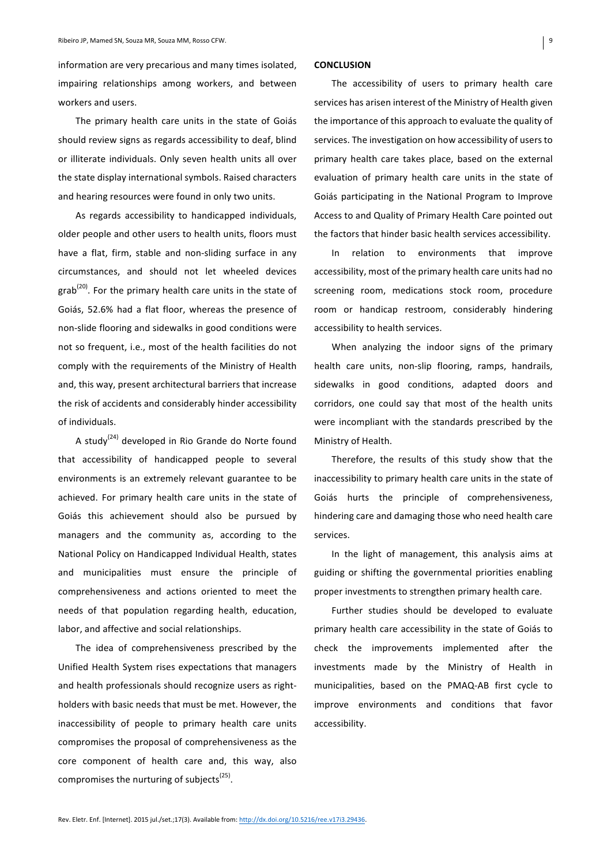information are very precarious and many times isolated. impairing relationships among workers, and between workers and users.

The primary health care units in the state of Goiás should review signs as regards accessibility to deaf, blind or illiterate individuals. Only seven health units all over the state display international symbols. Raised characters and hearing resources were found in only two units.

As regards accessibility to handicapped individuals, older people and other users to health units, floors must have a flat, firm, stable and non-sliding surface in any circumstances, and should not let wheeled devices  $\text{grab}^{\text{(20)}}$ . For the primary health care units in the state of Goiás, 52.6% had a flat floor, whereas the presence of non-slide flooring and sidewalks in good conditions were not so frequent, i.e., most of the health facilities do not comply with the requirements of the Ministry of Health and, this way, present architectural barriers that increase the risk of accidents and considerably hinder accessibility of individuals.

A study<sup>(24)</sup> developed in Rio Grande do Norte found that accessibility of handicapped people to several environments is an extremely relevant guarantee to be achieved. For primary health care units in the state of Goiás this achievement should also be pursued by managers and the community as, according to the National Policy on Handicapped Individual Health, states and municipalities must ensure the principle of comprehensiveness and actions oriented to meet the needs of that population regarding health, education, labor, and affective and social relationships.

The idea of comprehensiveness prescribed by the Unified Health System rises expectations that managers and health professionals should recognize users as rightholders with basic needs that must be met. However, the inaccessibility of people to primary health care units compromises the proposal of comprehensiveness as the core component of health care and, this way, also compromises the nurturing of subjects<sup>(25)</sup>.

### **CONCLUSION**

The accessibility of users to primary health care services has arisen interest of the Ministry of Health given the importance of this approach to evaluate the quality of services. The investigation on how accessibility of users to primary health care takes place, based on the external evaluation of primary health care units in the state of Goiás participating in the National Program to Improve Access to and Quality of Primary Health Care pointed out the factors that hinder basic health services accessibility.

In relation to environments that improve accessibility, most of the primary health care units had no screening room, medications stock room, procedure room or handicap restroom, considerably hindering accessibility to health services.

When analyzing the indoor signs of the primary health care units, non-slip flooring, ramps, handrails, sidewalks in good conditions, adapted doors and corridors, one could say that most of the health units were incompliant with the standards prescribed by the Ministry of Health.

Therefore, the results of this study show that the inaccessibility to primary health care units in the state of Goiás hurts the principle of comprehensiveness, hindering care and damaging those who need health care services. 

In the light of management, this analysis aims at guiding or shifting the governmental priorities enabling proper investments to strengthen primary health care.

Further studies should be developed to evaluate primary health care accessibility in the state of Goiás to check the improvements implemented after the investments made by the Ministry of Health in municipalities, based on the PMAQ-AB first cycle to improve environments and conditions that favor accessibility.